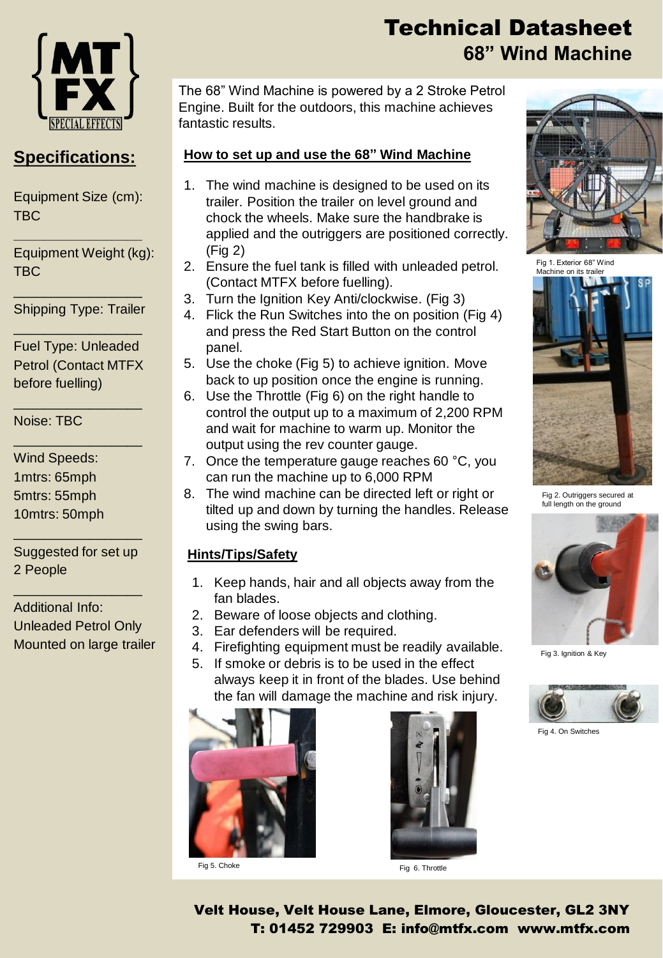

### **Specifications:**

Equipment Size (cm): TBC

**\_\_\_\_\_\_\_\_\_\_\_\_\_\_\_\_\_**

Equipment Weight (kg): TBC

\_\_\_\_\_\_\_\_\_\_\_\_\_\_\_\_\_ Shipping Type: Trailer \_\_\_\_\_\_\_\_\_\_\_\_\_\_\_\_\_

Fuel Type: Unleaded Petrol (Contact MTFX before fuelling)

\_\_\_\_\_\_\_\_\_\_\_\_\_\_\_\_\_

\_\_\_\_\_\_\_\_\_\_\_\_\_\_\_\_\_

Noise: TBC

Wind Speeds: 1mtrs: 65mph 5mtrs: 55mph 10mtrs: 50mph

Suggested for set up 2 People

\_\_\_\_\_\_\_\_\_\_\_\_\_\_\_\_\_

\_\_\_\_\_\_\_\_\_\_\_\_\_\_\_\_\_

Additional Info: Unleaded Petrol Only Mounted on large trailer

# Technical Datasheet **68" Wind Machine**

The 68" Wind Machine is powered by a 2 Stroke Petrol Engine. Built for the outdoors, this machine achieves fantastic results.

#### **How to set up and use the 68" Wind Machine**

- 1. The wind machine is designed to be used on its trailer. Position the trailer on level ground and chock the wheels. Make sure the handbrake is applied and the outriggers are positioned correctly. (Fig 2)
- 2. Ensure the fuel tank is filled with unleaded petrol. (Contact MTFX before fuelling).
- 3. Turn the Ignition Key Anti/clockwise. (Fig 3)
- 4. Flick the Run Switches into the on position (Fig 4) and press the Red Start Button on the control panel.
- 5. Use the choke (Fig 5) to achieve ignition. Move back to up position once the engine is running.
- 6. Use the Throttle (Fig 6) on the right handle to control the output up to a maximum of 2,200 RPM and wait for machine to warm up. Monitor the output using the rev counter gauge.
- 7. Once the temperature gauge reaches 60 °C, you can run the machine up to 6,000 RPM
- 8. The wind machine can be directed left or right or tilted up and down by turning the handles. Release using the swing bars.

#### **Hints/Tips/Safety**

- 1. Keep hands, hair and all objects away from the fan blades.
- 2. Beware of loose objects and clothing.
- 3. Ear defenders will be required.
- 4. Firefighting equipment must be readily available.
- 5. If smoke or debris is to be used in the effect always keep it in front of the blades. Use behind the fan will damage the machine and risk injury.





Fig 5. Choke Fig 6. Throttle



Fig 1. Exterior 68" Wind Machine on its trailer



Fig 2. Outriggers secured at full length on the ground



Fig 3. Ignition & Key